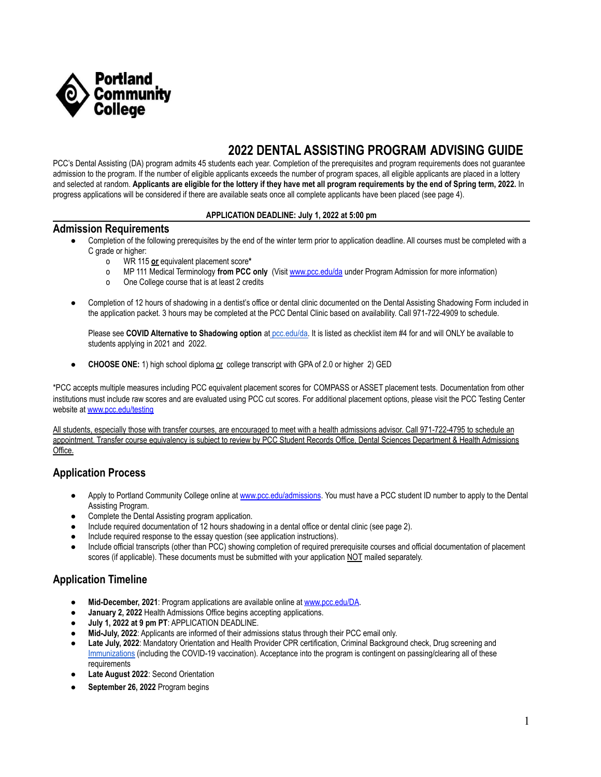

# **2022 DENTAL ASSISTING PROGRAM ADVISING GUIDE**

PCC's Dental Assisting (DA) program admits 45 students each year. Completion of the prerequisites and program requirements does not guarantee admission to the program. If the number of eligible applicants exceeds the number of program spaces, all eligible applicants are placed in a lottery and selected at random. **Applicants are eligible for the lottery if they have met all program requirements by the end of Spring term, 2022.** In progress applications will be considered if there are available seats once all complete applicants have been placed (see page 4).

#### **APPLICATION DEADLINE: July 1, 2022 at 5:00 pm**

#### **Admission Requirements**

- Completion of the following prerequisites by the end of the winter term prior to application deadline. All courses must be completed with a C grade or higher:
	- o WR 115 **or** equivalent placement score**\***
	- o MP 111 Medical Terminology **from PCC only** (Visit [www.pcc.edu/da](http://www.pcc.edu/da) under Program Admission for more information)
	- o One College course that is at least 2 credits
- Completion of 12 hours of shadowing in a dentist's office or dental clinic documented on the Dental Assisting Shadowing Form included in the application packet. 3 hours may be completed at the PCC Dental Clinic based on availability. Call 971-722-4909 to schedule.

Please see **COVID Alternative to Shadowing option** at [pcc.edu/da.](http://pcc.edu/da) It is listed as checklist item #4 for and will ONLY be available to students applying in 2021 and 2022.

**CHOOSE ONE:** 1) high school diploma <u>or</u> college transcript with GPA of 2.0 or higher 2) GED

\*PCC accepts multiple measures including PCC equivalent placement scores for COMPASS or ASSET placement tests. Documentation from other institutions must include raw scores and are evaluated using PCC cut scores. For additional placement options, please visit the PCC Testing Center website at [www.pcc.edu/testing](http://www.pcc.edu/testing)

All students, especially those with transfer courses, are encouraged to meet with a health admissions advisor. Call 971-722-4795 to schedule an appointment. Transfer course equivalency is subject to review by PCC Student Records Office, Dental Sciences Department & Health Admissions Office.

#### **Application Process**

- Apply to Portland Community College online at [www.pcc.edu/admissions](http://www.pcc.edu/admissions). You must have a PCC student ID number to apply to the Dental Assisting Program.
- Complete the Dental Assisting program application.
- Include required documentation of 12 hours shadowing in a dental office or dental clinic (see page 2).
- Include required response to the essay question (see application instructions).
- Include official transcripts (other than PCC) showing completion of required prerequisite courses and official documentation of placement scores (if applicable). These documents must be submitted with your application NOT mailed separately.

### **Application Timeline**

- **Mid-December, 2021**: Program applications are available online at [www.pcc.edu/DA](http://www.pcc.edu/DA).
- **January 2, 2022** Health Admissions Office begins accepting applications.
- **July 1, 2022 at 9 pm PT**: APPLICATION DEADLINE.
- Mid-July, 2022: Applicants are informed of their admissions status through their PCC email only.
- **Late July, 2022**: Mandatory Orientation and Health Provider CPR certification, Criminal Background check, Drug screening and [Immunizations](https://www.pcc.edu/programs/health-info-management/wp-content/uploads/sites/87/2021/10/immunizations.pdf) (including the COVID-19 vaccination). Acceptance into the program is contingent on passing/clearing all of these requirements
- Late August 2022: Second Orientation
- **September 26, 2022** Program begins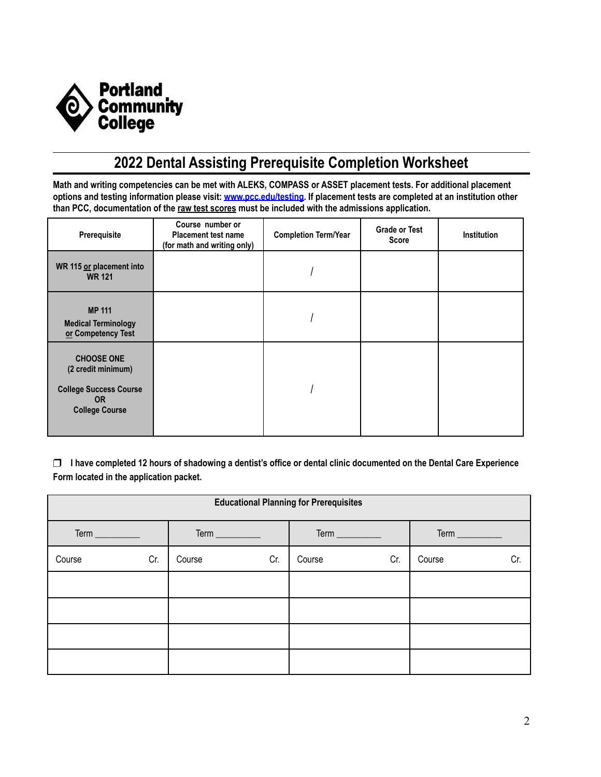

# **2022 Dental Assisting Prerequisite Completion Worksheet**

Math and writing competencies can be met with ALEKS, COMPASS or ASSET placement tests. For additional placement options and testing information please visit: [www.pcc.edu/testing.](http://www.pcc.edu/testing) If placement tests are completed at an institution other **than PCC, documentation of the raw test scores must be included with the admissions application.**

| Prerequisite                                                                                                   | Course number or<br><b>Placement test name</b><br>(for math and writing only) | <b>Completion Term/Year</b> | <b>Grade or Test</b><br><b>Score</b> | <b>Institution</b> |
|----------------------------------------------------------------------------------------------------------------|-------------------------------------------------------------------------------|-----------------------------|--------------------------------------|--------------------|
| WR 115 or placement into<br><b>WR 121</b>                                                                      |                                                                               |                             |                                      |                    |
| <b>MP 111</b><br><b>Medical Terminology</b><br>or Competency Test                                              |                                                                               |                             |                                      |                    |
| <b>CHOOSE ONE</b><br>(2 credit minimum)<br><b>College Success Course</b><br><b>OR</b><br><b>College Course</b> |                                                                               |                             |                                      |                    |

□ I have completed 12 hours of shadowing a dentist's office or dental clinic documented on the Dental Care Experience **Form located in the application packet.**

| <b>Educational Planning for Prerequisites</b> |     |                                |     |                |     |        |                 |  |  |  |
|-----------------------------------------------|-----|--------------------------------|-----|----------------|-----|--------|-----------------|--|--|--|
|                                               |     | $Term$ <sub>____________</sub> |     | Term _________ |     |        | Term __________ |  |  |  |
| Course                                        | Cr. | Course                         | Cr. | Course         | Cr. | Course | Cr.             |  |  |  |
|                                               |     |                                |     |                |     |        |                 |  |  |  |
|                                               |     |                                |     |                |     |        |                 |  |  |  |
|                                               |     |                                |     |                |     |        |                 |  |  |  |
|                                               |     |                                |     |                |     |        |                 |  |  |  |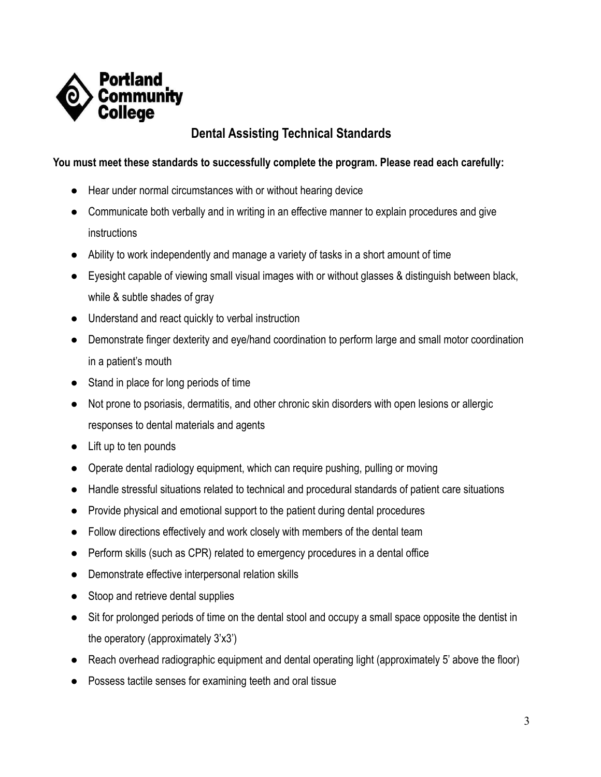

## **Dental Assisting Technical Standards**

## **You must meet these standards to successfully complete the program. Please read each carefully:**

- Hear under normal circumstances with or without hearing device
- Communicate both verbally and in writing in an effective manner to explain procedures and give instructions
- Ability to work independently and manage a variety of tasks in a short amount of time
- Eyesight capable of viewing small visual images with or without glasses & distinguish between black, while & subtle shades of gray
- Understand and react quickly to verbal instruction
- Demonstrate finger dexterity and eye/hand coordination to perform large and small motor coordination in a patient's mouth
- Stand in place for long periods of time
- Not prone to psoriasis, dermatitis, and other chronic skin disorders with open lesions or allergic responses to dental materials and agents
- Lift up to ten pounds
- Operate dental radiology equipment, which can require pushing, pulling or moving
- Handle stressful situations related to technical and procedural standards of patient care situations
- Provide physical and emotional support to the patient during dental procedures
- Follow directions effectively and work closely with members of the dental team
- Perform skills (such as CPR) related to emergency procedures in a dental office
- Demonstrate effective interpersonal relation skills
- Stoop and retrieve dental supplies
- Sit for prolonged periods of time on the dental stool and occupy a small space opposite the dentist in the operatory (approximately 3'x3')
- Reach overhead radiographic equipment and dental operating light (approximately 5' above the floor)
- Possess tactile senses for examining teeth and oral tissue